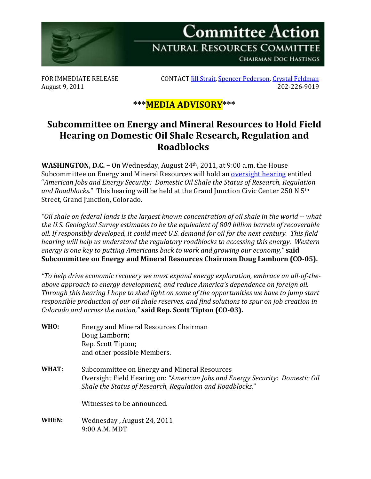

August 9, 2011

FOR IMMEDIATE RELEASE CONTACT <u>Jill Strait, [Spencer Pederson,](mailto:spencer.pederson@mail.house.gov) [Crystal Feldman](mailto:crystal.feldman@mail.house.gov)</u><br>202-226-9019 202-226

## **\*\*\*MEDIA ADVISORY\*\*\***

## **Subcommittee on Energy and Mineral Resources to Hold Field Hearing on Domestic Oil Shale Research, Regulation and Roadblocks**

**WASHINGTON, D.C. –** On Wednesday, August 24th, 2011, at 9:00 a.m. the House Subcommittee on Energy and Mineral Resources will hold an [oversight hearing](http://naturalresources.house.gov/Calendar/EventSingle.aspx?EventID=255532) entitled "*American Jobs and Energy Security: Domestic Oil Shale the Status of Research, Regulation and Roadblocks.*" This hearing will be held at the Grand Junction Civic Center 250 N 5th Street, Grand Junction, Colorado.

*"Oil shale on federal lands is the largest known concentration of oil shale in the world -- what the U.S. Geological Survey estimates to be the equivalent of 800 billion barrels of recoverable oil. If responsibly developed, it could meet U.S. demand for oil for the next century. This field hearing will help us understand the regulatory roadblocks to accessing this energy. Western energy is one key to putting Americans back to work and growing our economy,"* **said Subcommittee on Energy and Mineral Resources Chairman Doug Lamborn (CO-05).**

*"To help drive economic recovery we must expand energy exploration, embrace an all-of-theabove approach to energy development, and reduce America's dependence on foreign oil. Through this hearing I hope to shed light on some of the opportunities we have to jump start responsible production of our oil shale reserves, and find solutions to spur on job creation in Colorado and across the nation,"* **said Rep. Scott Tipton (CO-03).**

**WHO:** Energy and Mineral Resources Chairman Doug Lamborn; Rep. Scott Tipton; and other possible Members. **WHAT:** Subcommittee on Energy and Mineral Resources Oversight Field Hearing on: *"American Jobs and Energy Security: Domestic Oil Shale the Status of Research, Regulation and Roadblocks.*" Witnesses to be announced. **WHEN:** Wednesday , August 24, 2011 9:00 A.M. MDT